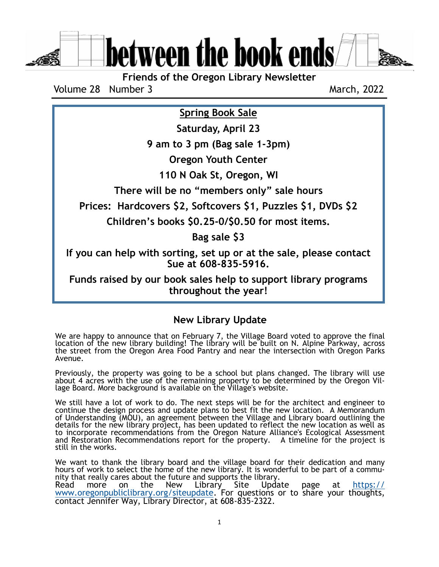between the book ends

**Friends of the Oregon Library Newsletter**

Volume 28 Number 3

March, 2022

**Spring Book Sale**

**Saturday, April 23**

**9 am to 3 pm (Bag sale 1-3pm)**

**Oregon Youth Center**

**110 N Oak St, Oregon, WI**

**There will be no "members only" sale hours**

**Prices: Hardcovers \$2, Softcovers \$1, Puzzles \$1, DVDs \$2**

**Children's books \$0.25-0/\$0.50 for most items.**

**Bag sale \$3**

**If you can help with sorting, set up or at the sale, please contact Sue at 608-835-5916.** 

**Funds raised by our book sales help to support library programs throughout the year!**

**New Library Update**

We are happy to announce that on February 7, the Village Board voted to approve the final location of the new library building! The library will be built on N. Alpine Parkway, across the street from the Oregon Area Food Pantry and near the intersection with Oregon Parks Avenue.

Previously, the property was going to be a school but plans changed. The library will use about 4 acres with the use of the remaining property to be determined by the Oregon Village Board. More background is available on the Village's website.

We still have a lot of work to do. The next steps will be for the architect and engineer to continue the design process and update plans to best fit the new location. A Memorandum of Understanding (MOU), an agreement between the Village and Library board outlining the details for the new library project, has been updated to reflect the new location as well as to incorporate recommendations from the Oregon Nature Alliance's Ecological Assessment and Restoration Recommendations report for the property. A timeline for the project is still in the works.

We want to thank the library board and the village board for their dedication and many hours of work to select the home of the new library. It is wonderful to be part of a community that really cares about the future and supports the library.

Read more on the New Library Site Update page at [https://](https://www.oregonpubliclibrary.org/siteupdate) [www.oregonpubliclibrary.org/siteupdate.](https://www.oregonpubliclibrary.org/siteupdate) For questions or to share your thoughts, contact Jennifer Way, Library Director, at 608-835-2322.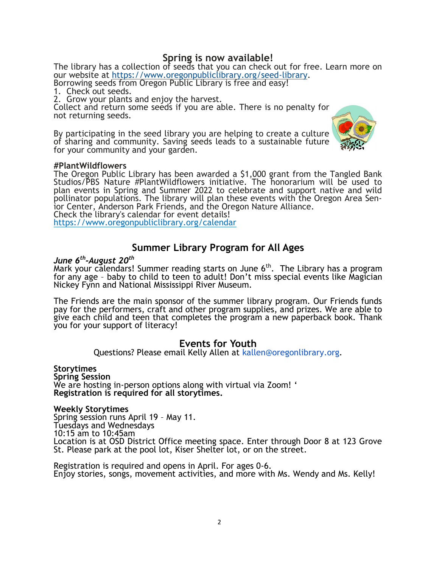## **Spring is now available!**

The library has a collection of seeds that you can check out for free. Learn more on our website at [https://www.oregonpubliclibrary.org/seed](https://www.oregonpubliclibrary.org/seed-library)-library.

Borrowing seeds from Oregon Public Library is free and easy! 1. Check out seeds.

2. Grow your plants and enjoy the harvest.

Collect and return some seeds if you are able. There is no penalty for not returning seeds.

By participating in the seed library you are helping to create a culture of sharing and community. Saving seeds leads to a sustainable future for your community and your garden.



### **#PlantWildflowers**

The Oregon Public Library has been awarded a \$1,000 grant from the Tangled Bank Studios/PBS Nature #PlantWildflowers initiative. The honorarium will be used to plan events in Spring and Summer 2022 to celebrate and support native and wild pollinator populations. The library will plan these events with the Oregon Area Senior Center, Anderson Park Friends, and the Oregon Nature Alliance. Check the library's calendar for event details!

<https://www.oregonpubliclibrary.org/calendar>

## **Summer Library Program for All Ages**

## *June 6th -August 20th*

Mark your calendars! Summer reading starts on June  $6<sup>th</sup>$ . The Library has a program for any age - baby to child to teen to adult! Don't miss special events like Magician Nickey Fynn and National Mississippi River Museum.

The Friends are the main sponsor of the summer library program. Our Friends funds pay for the performers, craft and other program supplies, and prizes. We are able to give each child and teen that completes the program a new paperback book. Thank you for your support of literacy!

## **Events for Youth**

Questions? Please email Kelly Allen at [kallen@oregonlibrary.org.](mailto:kallen@oregonlibrary.org)

**Storytimes Spring Session**  We are hosting in-person options along with virtual via Zoom! ' **Registration is required for all storytimes.**

### **Weekly Storytimes**

Spring session runs April 19 – May 11. Tuesdays and Wednesdays 10:15 am to 10:45am Location is at OSD District Office meeting space. Enter through Door 8 at 123 Grove St. Please park at the pool lot, Kiser Shelter lot, or on the street.

Registration is required and opens in April. For ages 0-6. Enjoy stories, songs, movement activities, and more with Ms. Wendy and Ms. Kelly!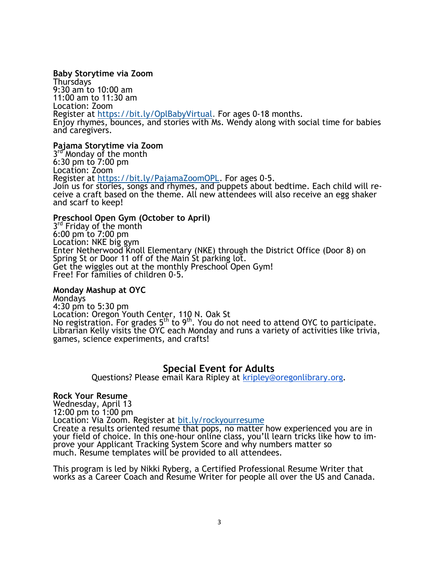### **Baby Storytime via Zoom**

Thursdays 9:30 am to 10:00 am 11:00 am to 11:30 am Location: Zoom Register at [https://bit.ly/OplBabyVirtual.](https://bit.ly/OplBabyVirtual) For ages 0-18 months. Enjoy rhymes, bounces, and stories with Ms. Wendy along with social time for babies and caregivers.

### **Pajama Storytime via Zoom**

3rd Monday of the month 6:30 pm to 7:00 pm Location: Zoom Register at [https://bit.ly/PajamaZoomOPL.](https://bit.ly/PajamaZoomOPL) For ages 0-5. Join us for stories, songs and rhymes, and puppets about bedtime. Each child will receive a craft based on the theme. All new attendees will also receive an egg shaker and scarf to keep!

### **Preschool Open Gym (October to April)**

3rd Friday of the month 6:00 pm to 7:00 pm Location: NKE big gym Enter Netherwood Knoll Elementary (NKE) through the District Office (Door 8) on Spring St or Door 11 off of the Main St parking lot. Get the wiggles out at the monthly Preschool Open Gym! Free! For families of children 0-5.

### **Monday Mashup at OYC**

Mondays 4:30 pm to 5:30 pm Location: Oregon Youth Center, 110 N. Oak St No registration. For grades 5<sup>th</sup> to 9<sup>th</sup>. You do not need to attend OYC to participate. Librarian Kelly visits the OYC each Monday and runs a variety of activities like trivia, games, science experiments, and crafts!

## **Special Event for Adults**

Questions? Please email Kara Ripley at [kripley@oregonlibrary.org.](mailto:kripley@oregonlibrary.org)

### **Rock Your Resume**

Wednesday, April 13 12:00 pm to 1:00 pm Location: Via Zoom. Register at [bit.ly/rockyourresume](https://bit.ly/rockyourresume) Create a results oriented resume that pops, no matter how experienced you are in your field of choice. In this one-hour online class, you'll learn tricks like how to improve your Applicant Tracking System Score and why numbers matter so much. Resume templates will be provided to all attendees.

This program is led by Nikki Ryberg, a Certified Professional Resume Writer that works as a Career Coach and Resume Writer for people all over the US and Canada.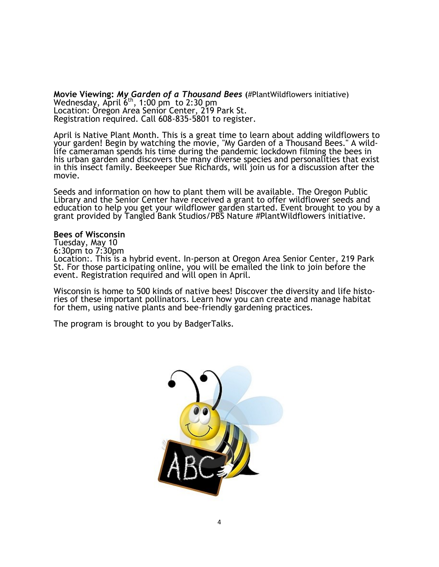**Movie Viewing:** *My Garden of a Thousand Bees* **(**#PlantWildflowers initiative) Wednesday, April  $6<sup>th</sup>$ , 1:00 pm to 2:30 pm Location: Oregon Area Senior Center, 219 Park St. Registration required. Call 608-835-5801 to register.

April is Native Plant Month. This is a great time to learn about adding wildflowers to your garden! Begin by watching the movie, "My Garden of a Thousand Bees." A wildlife cameraman spends his time during the pandemic lockdown filming the bees in his urban garden and discovers the many diverse species and personalities that exist in this insect family. Beekeeper Sue Richards, will join us for a discussion after the movie.

Seeds and information on how to plant them will be available. The Oregon Public Library and the Senior Center have received a grant to offer wildflower seeds and education to help you get your wildflower garden started. Event brought to you by a grant provided by Tangled Bank Studios/PBS Nature #PlantWildflowers initiative.

#### **Bees of Wisconsin**

Tuesday, May 10 6:30pm to 7:30pm Location:. This is a hybrid event. In-person at Oregon Area Senior Center, 219 Park St. For those participating online, you will be emailed the link to join before the event. Registration required and will open in April.

Wisconsin is home to 500 kinds of native bees! Discover the diversity and life histories of these important pollinators. Learn how you can create and manage habitat for them, using native plants and bee-friendly gardening practices.

The program is brought to you by BadgerTalks.

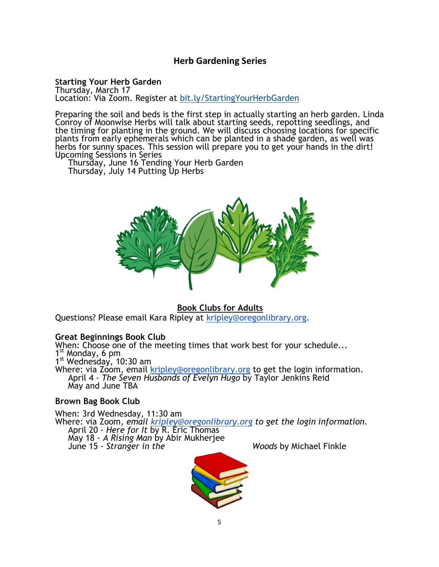## **Herb Gardening Series**

## **Starting Your Herb Garden**

Thursday, March 17 Location: Via Zoom. Register at [bit.ly/StartingYourHerbGarden](https://bit.ly/StartingYourHerbGarden)

Preparing the soil and beds is the first step in actually starting an herb garden. Linda Conroy of Moonwise Herbs will talk about starting seeds, repotting seedlings, and the timing for planting in the ground. We will discuss choosing locations for specific plants from early ephemerals which can be planted in a shade garden, as well was herbs for sunny spaces. This session will prepare you to get your hands in the dirt! Upcoming Sessions in Series

Thursday, June 16 Tending Your Herb Garden Thursday, July 14 Putting Up Herbs



## **Book Clubs for Adults**

Questions? Please email Kara Ripley at [kripley@oregonlibrary.org.](mailto:kripley@oregonlibrary.org)

### **Great Beginnings Book Club**

When: Choose one of the meeting times that work best for your schedule... 1 st Monday, 6 pm 1<sup>st</sup> Wednesday, 10:30 am

Where: via Zoom, email [kripley@oregonlibrary.org](mailto:kripley@oregonlibrary.org) to get the login information. April 4 - *The Seven Husbands of Evelyn Hugo* by Taylor Jenkins Reid May and June TBA

### **Brown Bag Book Club**

When: 3rd Wednesday, 11:30 am Where: via Zoom, *email [kripley@oregonlibrary.org](mailto:kripley@oregonlibrary.org) to get the login information.* April 20 - *Here for It* by R. Eric Thomas May 18 - *A Rising Man* by Abir Mukherjee June 15 - *Stranger in the Woods* by Michael Finkle

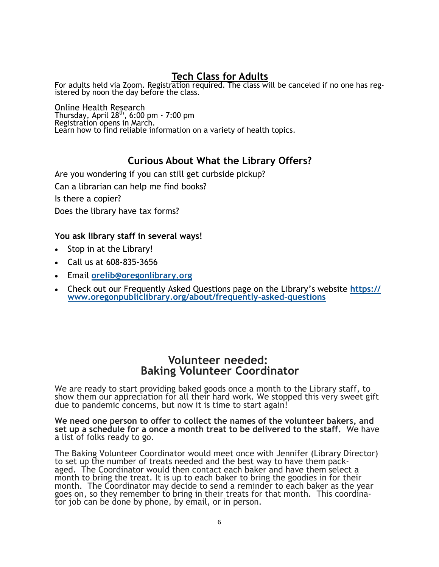# **Tech Class for Adults**

For adults held via Zoom. Registration required. The class will be canceled if no one has registered by noon the day before the class.

Online Health Research Thursday, April  $28<sup>th</sup>$ , 6:00 pm - 7:00 pm Registration opens in March. Learn how to find reliable information on a variety of health topics.

# **Curious About What the Library Offers?**

Are you wondering if you can still get curbside pickup? Can a librarian can help me find books? Is there a copier? Does the library have tax forms?

## **You ask library staff in several ways!**

- Stop in at the Library!
- Call us at 608-835-3656
- Email **[orelib@oregonlibrary.org](mailto:orelib@oregonlibrary.org)**
- Check out our Frequently Asked Questions page on the Library's website **[https://](https://www.oregonpubliclibrary.org/about/frequently-asked-questions) [www.oregonpubliclibrary.org/about/frequently](https://www.oregonpubliclibrary.org/about/frequently-asked-questions)-asked-questions**

# **Volunteer needed: Baking Volunteer Coordinator**

We are ready to start providing baked goods once a month to the Library staff, to show them our appreciation for all their hard work. We stopped this very sweet gift due to pandemic concerns, but now it is time to start again!

**We need one person to offer to collect the names of the volunteer bakers, and set up a schedule for a once a month treat to be delivered to the staff.** We have a list of folks ready to go.

The Baking Volunteer Coordinator would meet once with Jennifer (Library Director) to set up the number of treats needed and the best way to have them packaged. The Coordinator would then contact each baker and have them select a month to bring the treat. It is up to each baker to bring the goodies in for their month. The Coordinator may decide to send a reminder to each baker as the year goes on, so they remember to bring in their treats for that month. This coordinator job can be done by phone, by email, or in person.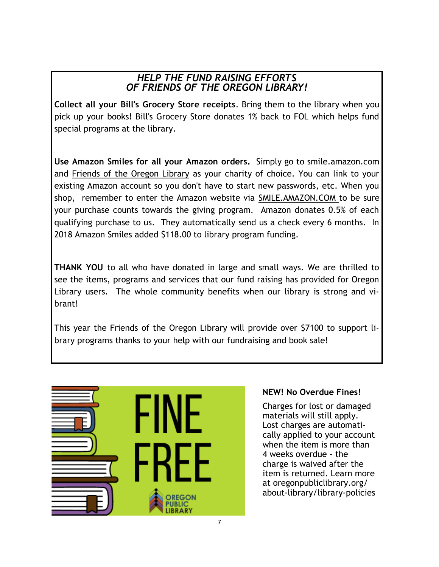# *HELP THE FUND RAISING EFFORTS OF FRIENDS OF THE OREGON LIBRARY!*

**Collect all your Bill's Grocery Store receipts**. Bring them to the library when you pick up your books! Bill's Grocery Store donates 1% back to FOL which helps fund special programs at the library.

**Use Amazon Smiles for all your Amazon orders.** Simply go to smile.amazon.com and Friends of the Oregon Library as your charity of choice. You can link to your existing Amazon account so you don't have to start new passwords, etc. When you shop, remember to enter the Amazon website via SMILE.AMAZON.COM to be sure your purchase counts towards the giving program. Amazon donates 0.5% of each qualifying purchase to us. They automatically send us a check every 6 months. In 2018 Amazon Smiles added \$118.00 to library program funding.

**THANK YOU** to all who have donated in large and small ways. We are thrilled to see the items, programs and services that our fund raising has provided for Oregon Library users. The whole community benefits when our library is strong and vibrant!

This year the Friends of the Oregon Library will provide over \$7100 to support library programs thanks to your help with our fundraising and book sale!



## **NEW! No Overdue Fines!**

Charges for lost or damaged materials will still apply. Lost charges are automatically applied to your account when the item is more than 4 weeks overdue - the charge is waived after the item is returned. Learn more at oregonpubliclibrary.org/ about-library/library-policies